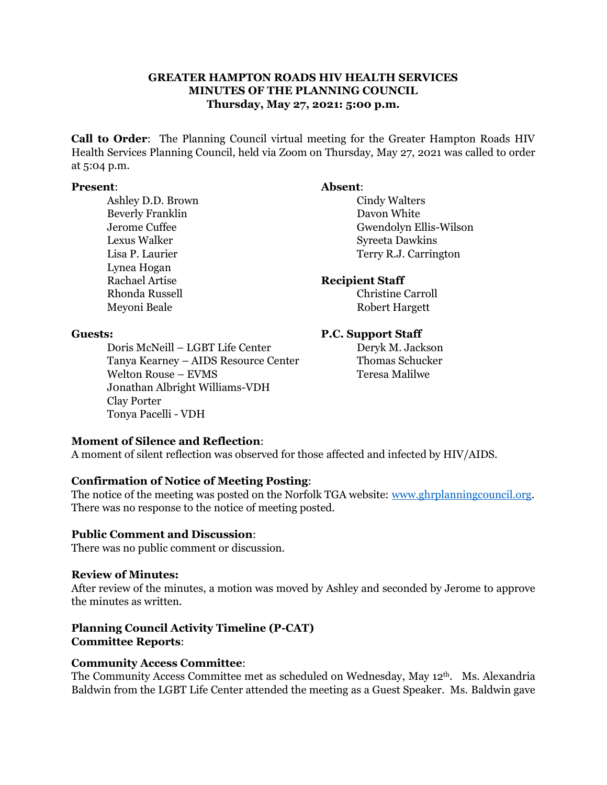# **GREATER HAMPTON ROADS HIV HEALTH SERVICES MINUTES OF THE PLANNING COUNCIL Thursday, May 27, 2021: 5:00 p.m.**

**Call to Order**: The Planning Council virtual meeting for the Greater Hampton Roads HIV Health Services Planning Council, held via Zoom on Thursday, May 27, 2021 was called to order at 5:04 p.m.

### **Present**: **Absent**:

Ashley D.D. Brown Cindy Walters Beverly Franklin Davon White Lexus Walker Syreeta Dawkins Lynea Hogan Rachael Artise **Recipient Staff** Rhonda Russell **Christine Carroll** 

Jerome Cuffee Gwendolyn Ellis-Wilson Lisa P. Laurier Terry R.J. Carrington

Meyoni Beale Robert Hargett

Doris McNeill – LGBT Life Center Deryk M. Jackson Tanya Kearney – AIDS Resource Center Thomas Schucker Welton Rouse – EVMS Teresa Malilwe J0nathan Albright Williams-VDH Clay Porter Tonya Pacelli - VDH

# **Guests: P.C. Support Staff**

# **Moment of Silence and Reflection**:

A moment of silent reflection was observed for those affected and infected by HIV/AIDS.

# **Confirmation of Notice of Meeting Posting**:

The notice of the meeting was posted on the Norfolk TGA website: [www.ghrplanningcouncil.org.](http://www.ghrplanningcouncil.org/) There was no response to the notice of meeting posted.

### **Public Comment and Discussion**:

There was no public comment or discussion.

### **Review of Minutes:**

After review of the minutes, a motion was moved by Ashley and seconded by Jerome to approve the minutes as written.

# **Planning Council Activity Timeline (P-CAT) Committee Reports**:

# **Community Access Committee**:

The Community Access Committee met as scheduled on Wednesday, May 12th. Ms. Alexandria Baldwin from the LGBT Life Center attended the meeting as a Guest Speaker. Ms. Baldwin gave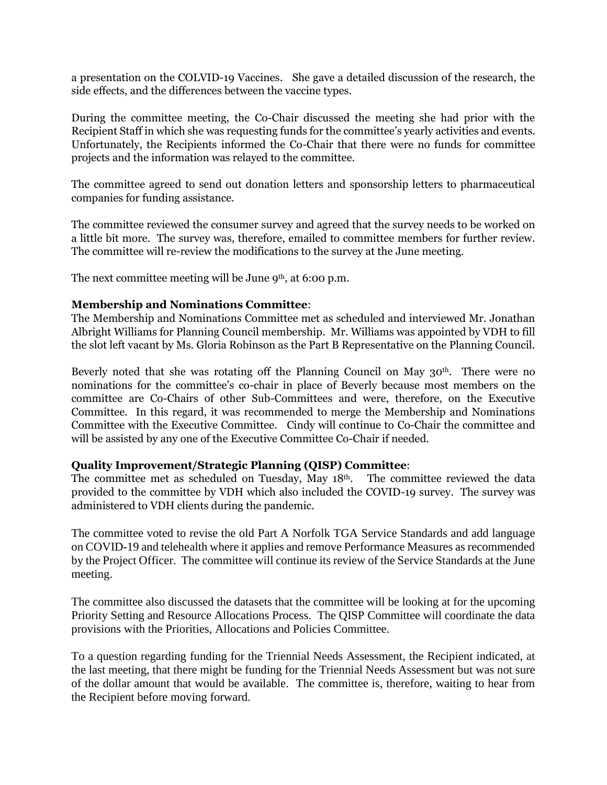a presentation on the COLVID-19 Vaccines. She gave a detailed discussion of the research, the side effects, and the differences between the vaccine types.

During the committee meeting, the Co-Chair discussed the meeting she had prior with the Recipient Staff in which she was requesting funds for the committee's yearly activities and events. Unfortunately, the Recipients informed the Co-Chair that there were no funds for committee projects and the information was relayed to the committee.

The committee agreed to send out donation letters and sponsorship letters to pharmaceutical companies for funding assistance.

The committee reviewed the consumer survey and agreed that the survey needs to be worked on a little bit more. The survey was, therefore, emailed to committee members for further review. The committee will re-review the modifications to the survey at the June meeting.

The next committee meeting will be June 9<sup>th</sup>, at 6:00 p.m.

# **Membership and Nominations Committee**:

The Membership and Nominations Committee met as scheduled and interviewed Mr. Jonathan Albright Williams for Planning Council membership. Mr. Williams was appointed by VDH to fill the slot left vacant by Ms. Gloria Robinson as the Part B Representative on the Planning Council.

Beverly noted that she was rotating off the Planning Council on May 30<sup>th</sup>. There were no nominations for the committee's co-chair in place of Beverly because most members on the committee are Co-Chairs of other Sub-Committees and were, therefore, on the Executive Committee. In this regard, it was recommended to merge the Membership and Nominations Committee with the Executive Committee. Cindy will continue to Co-Chair the committee and will be assisted by any one of the Executive Committee Co-Chair if needed.

# **Quality Improvement/Strategic Planning (QISP) Committee**:

The committee met as scheduled on Tuesday, May 18th. The committee reviewed the data provided to the committee by VDH which also included the COVID-19 survey. The survey was administered to VDH clients during the pandemic.

The committee voted to revise the old Part A Norfolk TGA Service Standards and add language on COVID-19 and telehealth where it applies and remove Performance Measures as recommended by the Project Officer. The committee will continue its review of the Service Standards at the June meeting.

The committee also discussed the datasets that the committee will be looking at for the upcoming Priority Setting and Resource Allocations Process. The QISP Committee will coordinate the data provisions with the Priorities, Allocations and Policies Committee.

To a question regarding funding for the Triennial Needs Assessment, the Recipient indicated, at the last meeting, that there might be funding for the Triennial Needs Assessment but was not sure of the dollar amount that would be available. The committee is, therefore, waiting to hear from the Recipient before moving forward.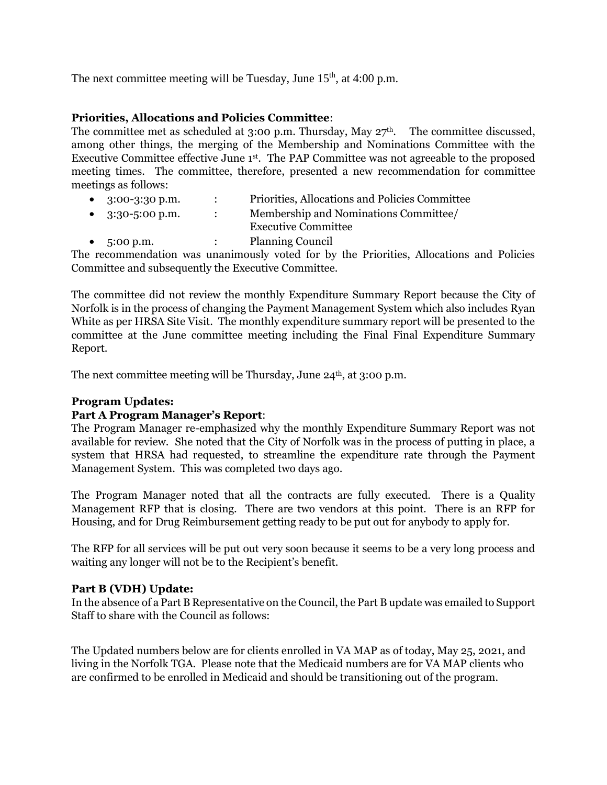The next committee meeting will be Tuesday, June  $15<sup>th</sup>$ , at 4:00 p.m.

# **Priorities, Allocations and Policies Committee**:

The committee met as scheduled at 3:00 p.m. Thursday, May  $27<sup>th</sup>$ . The committee discussed, among other things, the merging of the Membership and Nominations Committee with the Executive Committee effective June 1<sup>st</sup>. The PAP Committee was not agreeable to the proposed meeting times. The committee, therefore, presented a new recommendation for committee meetings as follows:

|           | • $3:00-3:30$ p.m.         | $\mathbb{R}^n$                          | Priorities, Allocations and Policies Committee                                           |
|-----------|----------------------------|-----------------------------------------|------------------------------------------------------------------------------------------|
|           | • $3:30-5:00 \text{ p.m.}$ | $\mathcal{L} = \mathcal{L} \mathcal{L}$ | Membership and Nominations Committee/                                                    |
|           |                            |                                         | <b>Executive Committee</b>                                                               |
| $\bullet$ | 5:00 p.m.                  | $\mathcal{L}$                           | <b>Planning Council</b>                                                                  |
|           |                            |                                         | The recommendation was unanimously voted for by the Priorities, Allocations and Policies |

Committee and subsequently the Executive Committee.

The committee did not review the monthly Expenditure Summary Report because the City of Norfolk is in the process of changing the Payment Management System which also includes Ryan White as per HRSA Site Visit. The monthly expenditure summary report will be presented to the committee at the June committee meeting including the Final Final Expenditure Summary Report.

The next committee meeting will be Thursday, June  $24<sup>th</sup>$ , at 3:00 p.m.

# **Program Updates:**

# **Part A Program Manager's Report**:

The Program Manager re-emphasized why the monthly Expenditure Summary Report was not available for review. She noted that the City of Norfolk was in the process of putting in place, a system that HRSA had requested, to streamline the expenditure rate through the Payment Management System. This was completed two days ago.

The Program Manager noted that all the contracts are fully executed. There is a Quality Management RFP that is closing. There are two vendors at this point. There is an RFP for Housing, and for Drug Reimbursement getting ready to be put out for anybody to apply for.

The RFP for all services will be put out very soon because it seems to be a very long process and waiting any longer will not be to the Recipient's benefit.

# **Part B (VDH) Update:**

In the absence of a Part B Representative on the Council, the Part B update was emailed to Support Staff to share with the Council as follows:

The Updated numbers below are for clients enrolled in VA MAP as of today, May 25, 2021, and living in the Norfolk TGA. Please note that the Medicaid numbers are for VA MAP clients who are confirmed to be enrolled in Medicaid and should be transitioning out of the program.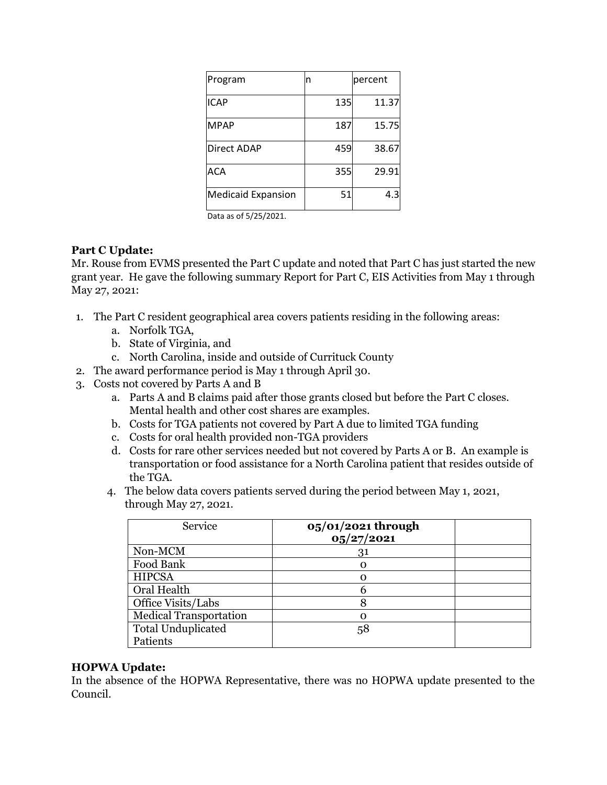| Program                   | n   | percent |
|---------------------------|-----|---------|
| <b>ICAP</b>               | 135 | 11.37   |
| <b>MPAP</b>               | 187 | 15.75   |
| <b>Direct ADAP</b>        | 459 | 38.67   |
| ACA                       | 355 | 29.91   |
| <b>Medicaid Expansion</b> | 51  | 4.3     |

Data as of 5/25/2021.

# **Part C Update:**

Mr. Rouse from EVMS presented the Part C update and noted that Part C has just started the new grant year. He gave the following summary Report for Part C, EIS Activities from May 1 through May 27, 2021:

- 1. The Part C resident geographical area covers patients residing in the following areas:
	- a. Norfolk TGA,
	- b. State of Virginia, and
	- c. North Carolina, inside and outside of Currituck County
- 2. The award performance period is May 1 through April 30.
- 3. Costs not covered by Parts A and B
	- a. Parts A and B claims paid after those grants closed but before the Part C closes. Mental health and other cost shares are examples.
	- b. Costs for TGA patients not covered by Part A due to limited TGA funding
	- c. Costs for oral health provided non-TGA providers
	- d. Costs for rare other services needed but not covered by Parts A or B. An example is transportation or food assistance for a North Carolina patient that resides outside of the TGA.
	- 4. The below data covers patients served during the period between May 1, 2021, through May 27, 2021.

| Service                       | $05/01/2021$ through<br>05/27/2021 |  |
|-------------------------------|------------------------------------|--|
| Non-MCM                       | 31                                 |  |
| Food Bank                     |                                    |  |
| <b>HIPCSA</b>                 | ∩                                  |  |
| Oral Health                   |                                    |  |
| Office Visits/Labs            |                                    |  |
| <b>Medical Transportation</b> | ∩                                  |  |
| <b>Total Unduplicated</b>     | 58                                 |  |
| Patients                      |                                    |  |

# **HOPWA Update:**

In the absence of the HOPWA Representative, there was no HOPWA update presented to the Council.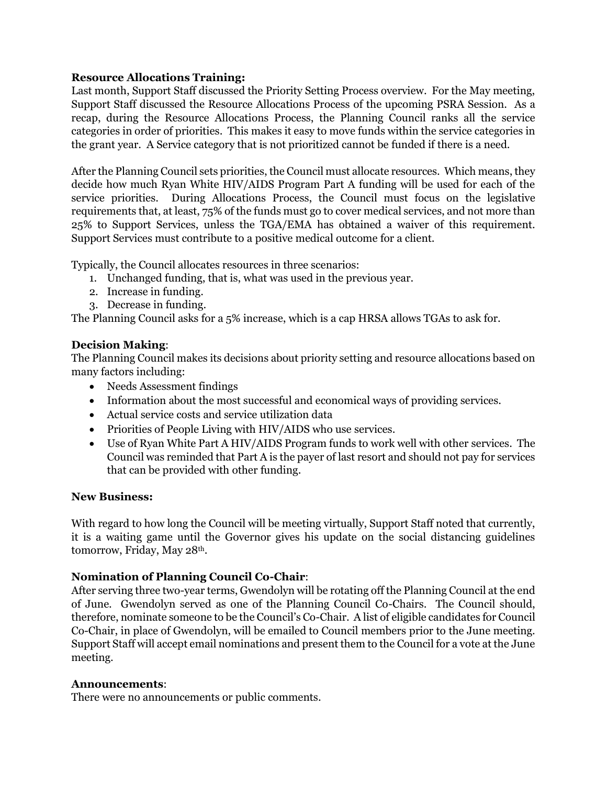# **Resource Allocations Training:**

Last month, Support Staff discussed the Priority Setting Process overview. For the May meeting, Support Staff discussed the Resource Allocations Process of the upcoming PSRA Session. As a recap, during the Resource Allocations Process, the Planning Council ranks all the service categories in order of priorities. This makes it easy to move funds within the service categories in the grant year. A Service category that is not prioritized cannot be funded if there is a need.

After the Planning Council sets priorities, the Council must allocate resources. Which means, they decide how much Ryan White HIV/AIDS Program Part A funding will be used for each of the service priorities. During Allocations Process, the Council must focus on the legislative requirements that, at least, 75% of the funds must go to cover medical services, and not more than 25% to Support Services, unless the TGA/EMA has obtained a waiver of this requirement. Support Services must contribute to a positive medical outcome for a client.

Typically, the Council allocates resources in three scenarios:

- 1. Unchanged funding, that is, what was used in the previous year.
- 2. Increase in funding.
- 3. Decrease in funding.

The Planning Council asks for a 5% increase, which is a cap HRSA allows TGAs to ask for.

# **Decision Making**:

The Planning Council makes its decisions about priority setting and resource allocations based on many factors including:

- Needs Assessment findings
- Information about the most successful and economical ways of providing services.
- Actual service costs and service utilization data
- Priorities of People Living with HIV/AIDS who use services.
- Use of Ryan White Part A HIV/AIDS Program funds to work well with other services. The Council was reminded that Part A is the payer of last resort and should not pay for services that can be provided with other funding.

# **New Business:**

With regard to how long the Council will be meeting virtually, Support Staff noted that currently, it is a waiting game until the Governor gives his update on the social distancing guidelines tomorrow, Friday, May 28th.

# **Nomination of Planning Council Co-Chair**:

After serving three two-year terms, Gwendolyn will be rotating off the Planning Council at the end of June. Gwendolyn served as one of the Planning Council Co-Chairs. The Council should, therefore, nominate someone to be the Council's Co-Chair. A list of eligible candidates for Council Co-Chair, in place of Gwendolyn, will be emailed to Council members prior to the June meeting. Support Staff will accept email nominations and present them to the Council for a vote at the June meeting.

# **Announcements**:

There were no announcements or public comments.